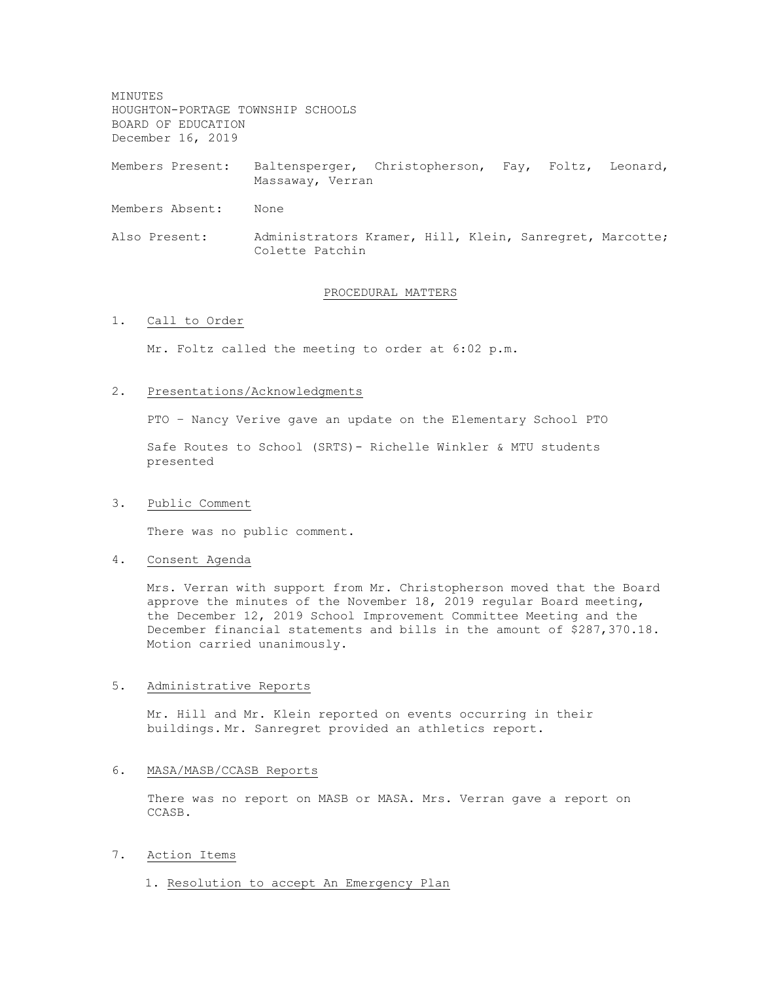MINUTES HOUGHTON-PORTAGE TOWNSHIP SCHOOLS BOARD OF EDUCATION December 16, 2019

Members Present: Baltensperger, Christopherson, Fay, Foltz, Leonard, Massaway, Verran

Members Absent: None

Also Present: Administrators Kramer, Hill, Klein, Sanregret, Marcotte; Colette Patchin

## PROCEDURAL MATTERS

# 1. Call to Order

Mr. Foltz called the meeting to order at 6:02 p.m.

#### 2. Presentations/Acknowledgments

PTO – Nancy Verive gave an update on the Elementary School PTO

Safe Routes to School (SRTS)- Richelle Winkler & MTU students presented

#### 3. Public Comment

There was no public comment.

## 4. Consent Agenda

Mrs. Verran with support from Mr. Christopherson moved that the Board approve the minutes of the November 18, 2019 regular Board meeting, the December 12, 2019 School Improvement Committee Meeting and the December financial statements and bills in the amount of \$287,370.18. Motion carried unanimously.

#### 5. Administrative Reports

Mr. Hill and Mr. Klein reported on events occurring in their buildings. Mr. Sanregret provided an athletics report.

## 6. MASA/MASB/CCASB Reports

There was no report on MASB or MASA. Mrs. Verran gave a report on CCASB.

# 7. Action Items

1. Resolution to accept An Emergency Plan